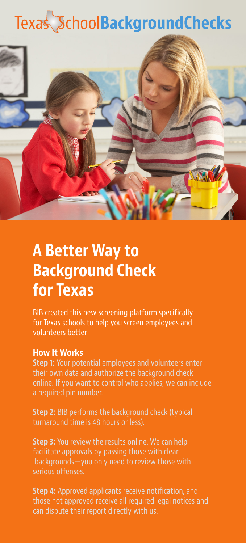# Texas SchoolBackgroundChecks



## **A Better Way to Background Check for Texas**

BIB created this new screening platform specifically for Texas schools to help you screen employees and volunteers better!

#### **How It Works**

**Step 1:** Your potential employees and volunteers enter their own data and authorize the background check online. If you want to control who applies, we can include a required pin number.

**Step 2:** BIB performs the background check (typical turnaround time is 48 hours or less).

**Step 3:** You review the results online. We can help facilitate approvals by passing those with clear backgrounds—you only need to review those with serious offenses.

**Step 4:** Approved applicants receive notification, and those not approved receive all required legal notices and can dispute their report directly with us.